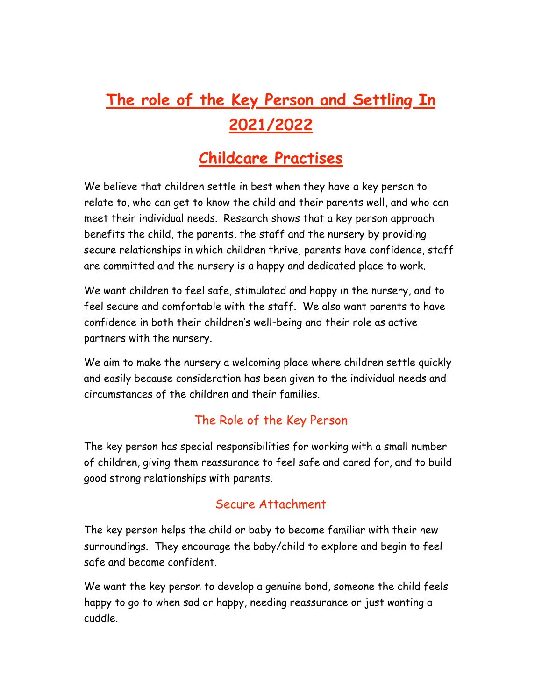# **The role of the Key Person and Settling In 2021/2022**

# **Childcare Practises**

We believe that children settle in best when they have a key person to relate to, who can get to know the child and their parents well, and who can meet their individual needs. Research shows that a key person approach benefits the child, the parents, the staff and the nursery by providing secure relationships in which children thrive, parents have confidence, staff are committed and the nursery is a happy and dedicated place to work.

We want children to feel safe, stimulated and happy in the nursery, and to feel secure and comfortable with the staff. We also want parents to have confidence in both their children's well-being and their role as active partners with the nursery.

We aim to make the nursery a welcoming place where children settle quickly and easily because consideration has been given to the individual needs and circumstances of the children and their families.

# The Role of the Key Person

The key person has special responsibilities for working with a small number of children, giving them reassurance to feel safe and cared for, and to build good strong relationships with parents.

# Secure Attachment

The key person helps the child or baby to become familiar with their new surroundings. They encourage the baby/child to explore and begin to feel safe and become confident.

We want the key person to develop a genuine bond, someone the child feels happy to go to when sad or happy, needing reassurance or just wanting a cuddle.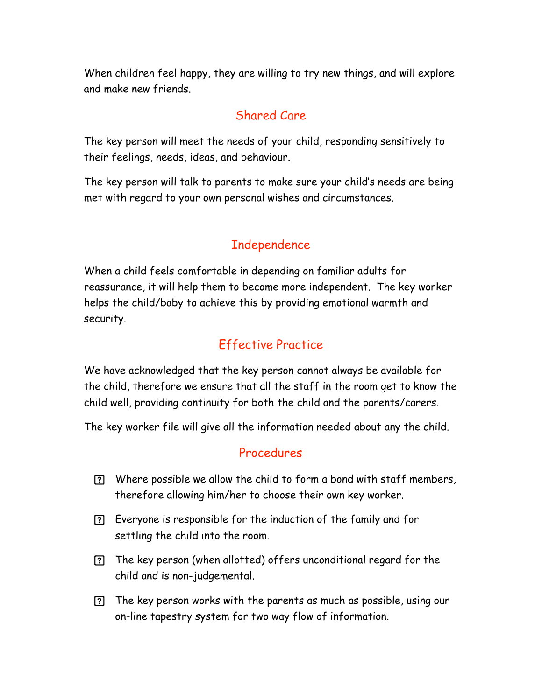When children feel happy, they are willing to try new things, and will explore and make new friends.

#### Shared Care

The key person will meet the needs of your child, responding sensitively to their feelings, needs, ideas, and behaviour.

The key person will talk to parents to make sure your child's needs are being met with regard to your own personal wishes and circumstances.

# Independence

When a child feels comfortable in depending on familiar adults for reassurance, it will help them to become more independent. The key worker helps the child/baby to achieve this by providing emotional warmth and security.

# Effective Practice

We have acknowledged that the key person cannot always be available for the child, therefore we ensure that all the staff in the room get to know the child well, providing continuity for both the child and the parents/carers.

The key worker file will give all the information needed about any the child.

#### Procedures

- Where possible we allow the child to form a bond with staff members, therefore allowing him/her to choose their own key worker.
- Everyone is responsible for the induction of the family and for settling the child into the room.
- The key person (when allotted) offers unconditional regard for the child and is non-judgemental.
- The key person works with the parents as much as possible, using our on-line tapestry system for two way flow of information.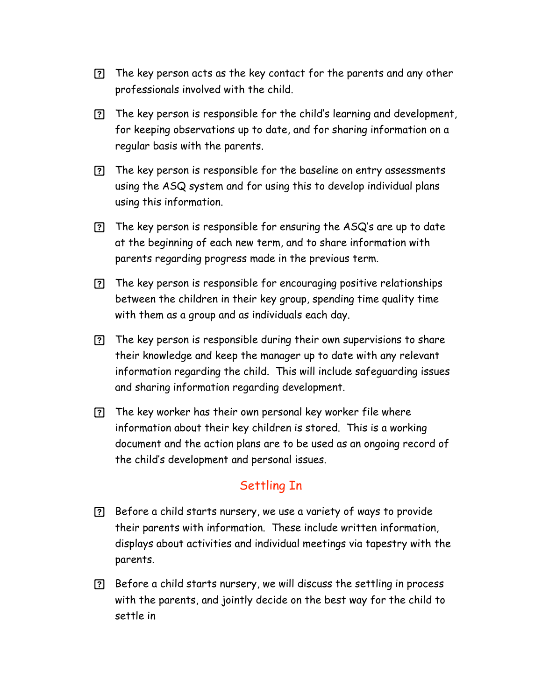- The key person acts as the key contact for the parents and any other professionals involved with the child.
- The key person is responsible for the child's learning and development, for keeping observations up to date, and for sharing information on a regular basis with the parents.
- The key person is responsible for the baseline on entry assessments using the ASQ system and for using this to develop individual plans using this information.
- $[?]$  The key person is responsible for ensuring the ASQ's are up to date at the beginning of each new term, and to share information with parents regarding progress made in the previous term.
- The key person is responsible for encouraging positive relationships between the children in their key group, spending time quality time with them as a group and as individuals each day.
- The key person is responsible during their own supervisions to share their knowledge and keep the manager up to date with any relevant information regarding the child. This will include safeguarding issues and sharing information regarding development.
- The key worker has their own personal key worker file where information about their key children is stored. This is a working document and the action plans are to be used as an ongoing record of the child's development and personal issues.

# Settling In

- Before a child starts nursery, we use a variety of ways to provide their parents with information. These include written information, displays about activities and individual meetings via tapestry with the parents.
- Before a child starts nursery, we will discuss the settling in process with the parents, and jointly decide on the best way for the child to settle in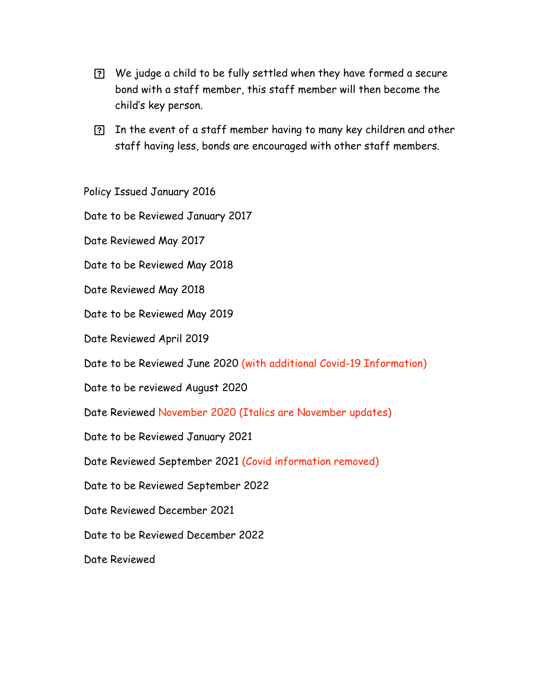- We judge a child to be fully settled when they have formed a secure bond with a staff member, this staff member will then become the child's key person.
- In the event of a staff member having to many key children and other staff having less, bonds are encouraged with other staff members.

Policy Issued January 2016

Date to be Reviewed January 2017

Date Reviewed May 2017

Date to be Reviewed May 2018

Date Reviewed May 2018

Date to be Reviewed May 2019

Date Reviewed April 2019

Date to be Reviewed June 2020 (with additional Covid-19 Information)

Date to be reviewed August 2020

Date Reviewed November 2020 (Italics are November updates)

Date to be Reviewed January 2021

Date Reviewed September 2021 (Covid information removed)

Date to be Reviewed September 2022

Date Reviewed December 2021

Date to be Reviewed December 2022

Date Reviewed